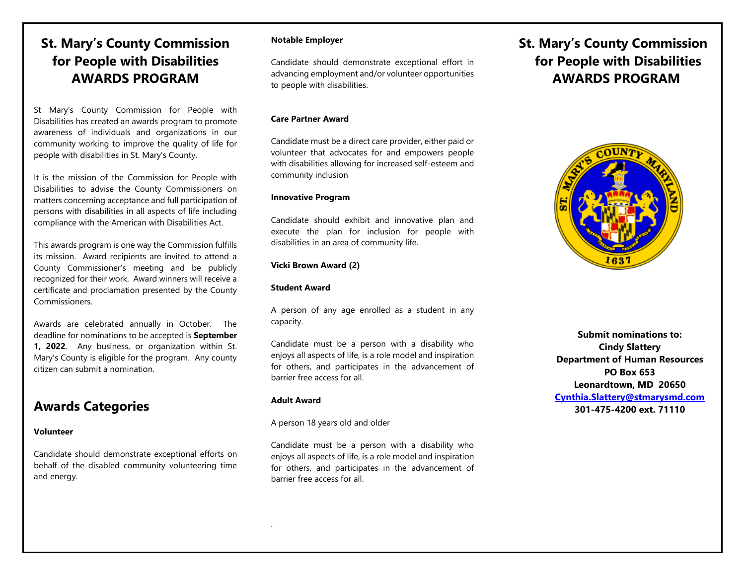# **St. Mary's County Commission for People with Disabilities AWARDS PROGRAM**

St Mary's County Commission for People with Disabilities has created an awards program to promote awareness of individuals and organizations in our community working to improve the quality of life for people with disabilities in St. Mary's County.

It is the mission of the Commission for People with Disabilities to advise the County Commissioners on matters concerning acceptance and full participation of persons with disabilities in all aspects of life including compliance with the American with Disabilities Act.

This awards program is one way the Commission fulfills its mission. Award recipients are invited to attend a County Commissioner's meeting and be publicly recognized for their work. Award winners will receive a certificate and proclamation presented by the County Commissioners.

Awards are celebrated annually in October. The deadline for nominations to be accepted is **September 1, 2022**. Any business, or organization within St. Mary's County is eligible for the program. Any county citizen can submit a nomination.

### **Awards Categories**

#### **Volunteer**

Candidate should demonstrate exceptional efforts on behalf of the disabled community volunteering time and energy.

#### **Notable Employer**

Candidate should demonstrate exceptional effort in advancing employment and/or volunteer opportunities to people with disabilities.

#### **Care Partner Award**

Candidate must be a direct care provider, either paid or volunteer that advocates for and empowers people with disabilities allowing for increased self-esteem and community inclusion

#### **Innovative Program**

Candidate should exhibit and innovative plan and execute the plan for inclusion for people with disabilities in an area of community life.

#### **Vicki Brown Award (2)**

#### **Student Award**

A person of any age enrolled as a student in any capacity.

Candidate must be a person with a disability who enjoys all aspects of life, is a role model and inspiration for others, and participates in the advancement of barrier free access for all.

#### **Adult Award**

.

A person 18 years old and older

Candidate must be a person with a disability who enjoys all aspects of life, is a role model and inspiration for others, and participates in the advancement of barrier free access for all.

 **St. Mary's County Commission for People with Disabilities AWARDS PROGRAM**



**Submit nominations to: Cindy Slattery Department of Human Resources PO Box 653 Leonardtown, MD 20650 [Cynthia.Slattery@stmarysmd.com](mailto:Cynthia.Slattery@stmarysmd.com) 301-475-4200 ext. 71110**